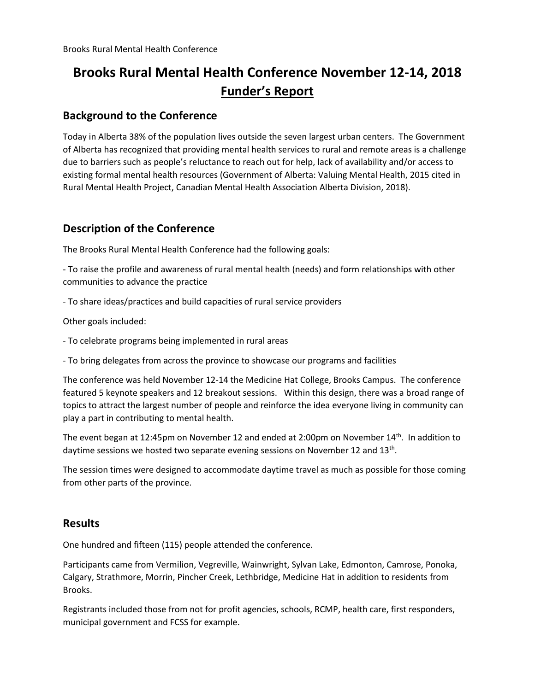# **Brooks Rural Mental Health Conference November 12-14, 2018 Funder's Report**

## **Background to the Conference**

Today in Alberta 38% of the population lives outside the seven largest urban centers. The Government of Alberta has recognized that providing mental health services to rural and remote areas is a challenge due to barriers such as people's reluctance to reach out for help, lack of availability and/or access to existing formal mental health resources (Government of Alberta: Valuing Mental Health, 2015 cited in Rural Mental Health Project, Canadian Mental Health Association Alberta Division, 2018).

## **Description of the Conference**

The Brooks Rural Mental Health Conference had the following goals:

- To raise the profile and awareness of rural mental health (needs) and form relationships with other communities to advance the practice

- To share ideas/practices and build capacities of rural service providers

Other goals included:

- To celebrate programs being implemented in rural areas
- To bring delegates from across the province to showcase our programs and facilities

The conference was held November 12-14 the Medicine Hat College, Brooks Campus. The conference featured 5 keynote speakers and 12 breakout sessions. Within this design, there was a broad range of topics to attract the largest number of people and reinforce the idea everyone living in community can play a part in contributing to mental health.

The event began at 12:45pm on November 12 and ended at 2:00pm on November 14<sup>th</sup>. In addition to daytime sessions we hosted two separate evening sessions on November 12 and 13<sup>th</sup>.

The session times were designed to accommodate daytime travel as much as possible for those coming from other parts of the province.

### **Results**

One hundred and fifteen (115) people attended the conference.

Participants came from Vermilion, Vegreville, Wainwright, Sylvan Lake, Edmonton, Camrose, Ponoka, Calgary, Strathmore, Morrin, Pincher Creek, Lethbridge, Medicine Hat in addition to residents from Brooks.

Registrants included those from not for profit agencies, schools, RCMP, health care, first responders, municipal government and FCSS for example.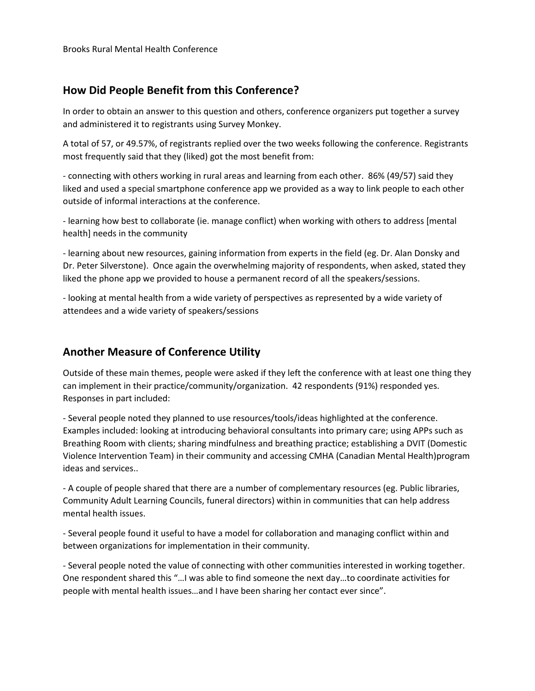# **How Did People Benefit from this Conference?**

In order to obtain an answer to this question and others, conference organizers put together a survey and administered it to registrants using Survey Monkey.

A total of 57, or 49.57%, of registrants replied over the two weeks following the conference. Registrants most frequently said that they (liked) got the most benefit from:

- connecting with others working in rural areas and learning from each other. 86% (49/57) said they liked and used a special smartphone conference app we provided as a way to link people to each other outside of informal interactions at the conference.

- learning how best to collaborate (ie. manage conflict) when working with others to address [mental health] needs in the community

- learning about new resources, gaining information from experts in the field (eg. Dr. Alan Donsky and Dr. Peter Silverstone). Once again the overwhelming majority of respondents, when asked, stated they liked the phone app we provided to house a permanent record of all the speakers/sessions.

- looking at mental health from a wide variety of perspectives as represented by a wide variety of attendees and a wide variety of speakers/sessions

# **Another Measure of Conference Utility**

Outside of these main themes, people were asked if they left the conference with at least one thing they can implement in their practice/community/organization. 42 respondents (91%) responded yes. Responses in part included:

- Several people noted they planned to use resources/tools/ideas highlighted at the conference. Examples included: looking at introducing behavioral consultants into primary care; using APPs such as Breathing Room with clients; sharing mindfulness and breathing practice; establishing a DVIT (Domestic Violence Intervention Team) in their community and accessing CMHA (Canadian Mental Health)program ideas and services..

- A couple of people shared that there are a number of complementary resources (eg. Public libraries, Community Adult Learning Councils, funeral directors) within in communities that can help address mental health issues.

- Several people found it useful to have a model for collaboration and managing conflict within and between organizations for implementation in their community.

- Several people noted the value of connecting with other communities interested in working together. One respondent shared this "…I was able to find someone the next day…to coordinate activities for people with mental health issues…and I have been sharing her contact ever since".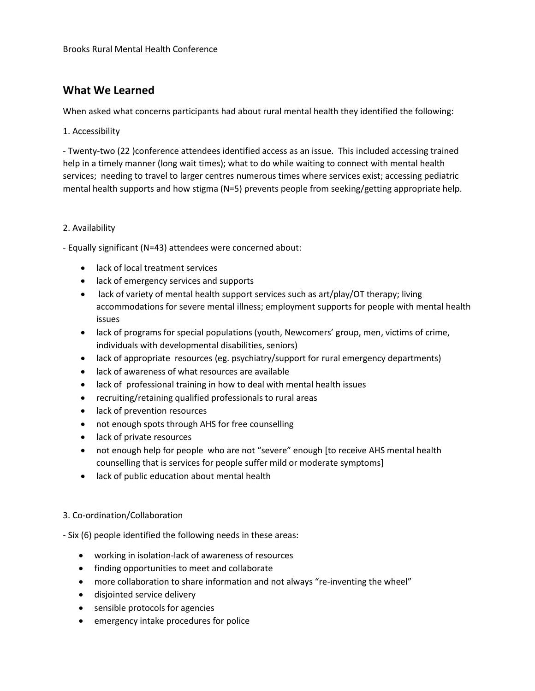# **What We Learned**

When asked what concerns participants had about rural mental health they identified the following:

#### 1. Accessibility

- Twenty-two (22 )conference attendees identified access as an issue. This included accessing trained help in a timely manner (long wait times); what to do while waiting to connect with mental health services; needing to travel to larger centres numerous times where services exist; accessing pediatric mental health supports and how stigma (N=5) prevents people from seeking/getting appropriate help.

#### 2. Availability

- Equally significant (N=43) attendees were concerned about:

- lack of local treatment services
- lack of emergency services and supports
- lack of variety of mental health support services such as art/play/OT therapy; living accommodations for severe mental illness; employment supports for people with mental health issues
- lack of programs for special populations (youth, Newcomers' group, men, victims of crime, individuals with developmental disabilities, seniors)
- lack of appropriate resources (eg. psychiatry/support for rural emergency departments)
- lack of awareness of what resources are available
- lack of professional training in how to deal with mental health issues
- recruiting/retaining qualified professionals to rural areas
- lack of prevention resources
- not enough spots through AHS for free counselling
- lack of private resources
- not enough help for people who are not "severe" enough [to receive AHS mental health counselling that is services for people suffer mild or moderate symptoms]
- lack of public education about mental health

#### 3. Co-ordination/Collaboration

- Six (6) people identified the following needs in these areas:

- working in isolation-lack of awareness of resources
- finding opportunities to meet and collaborate
- more collaboration to share information and not always "re-inventing the wheel"
- disjointed service delivery
- sensible protocols for agencies
- emergency intake procedures for police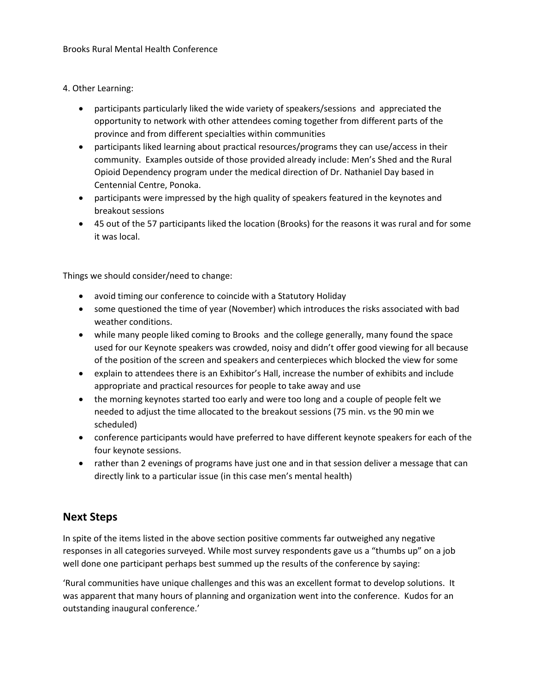#### 4. Other Learning:

- participants particularly liked the wide variety of speakers/sessions and appreciated the opportunity to network with other attendees coming together from different parts of the province and from different specialties within communities
- participants liked learning about practical resources/programs they can use/access in their community. Examples outside of those provided already include: Men's Shed and the Rural Opioid Dependency program under the medical direction of Dr. Nathaniel Day based in Centennial Centre, Ponoka.
- participants were impressed by the high quality of speakers featured in the keynotes and breakout sessions
- 45 out of the 57 participants liked the location (Brooks) for the reasons it was rural and for some it was local.

Things we should consider/need to change:

- avoid timing our conference to coincide with a Statutory Holiday
- some questioned the time of year (November) which introduces the risks associated with bad weather conditions.
- while many people liked coming to Brooks and the college generally, many found the space used for our Keynote speakers was crowded, noisy and didn't offer good viewing for all because of the position of the screen and speakers and centerpieces which blocked the view for some
- explain to attendees there is an Exhibitor's Hall, increase the number of exhibits and include appropriate and practical resources for people to take away and use
- the morning keynotes started too early and were too long and a couple of people felt we needed to adjust the time allocated to the breakout sessions (75 min. vs the 90 min we scheduled)
- conference participants would have preferred to have different keynote speakers for each of the four keynote sessions.
- rather than 2 evenings of programs have just one and in that session deliver a message that can directly link to a particular issue (in this case men's mental health)

## **Next Steps**

In spite of the items listed in the above section positive comments far outweighed any negative responses in all categories surveyed. While most survey respondents gave us a "thumbs up" on a job well done one participant perhaps best summed up the results of the conference by saying:

'Rural communities have unique challenges and this was an excellent format to develop solutions. It was apparent that many hours of planning and organization went into the conference. Kudos for an outstanding inaugural conference.'